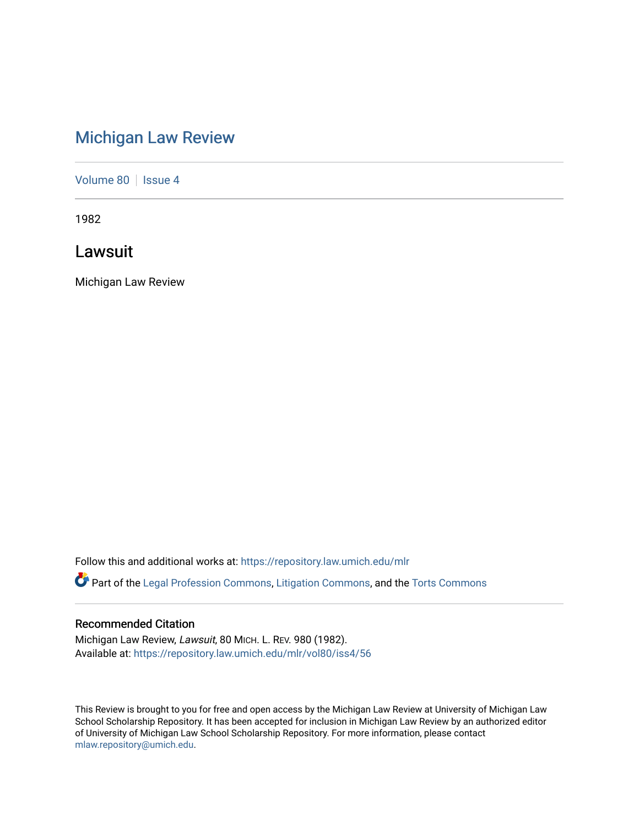## [Michigan Law Review](https://repository.law.umich.edu/mlr)

[Volume 80](https://repository.law.umich.edu/mlr/vol80) | [Issue 4](https://repository.law.umich.edu/mlr/vol80/iss4)

1982

Lawsuit

Michigan Law Review

Follow this and additional works at: [https://repository.law.umich.edu/mlr](https://repository.law.umich.edu/mlr?utm_source=repository.law.umich.edu%2Fmlr%2Fvol80%2Fiss4%2F56&utm_medium=PDF&utm_campaign=PDFCoverPages) 

Part of the [Legal Profession Commons](http://network.bepress.com/hgg/discipline/1075?utm_source=repository.law.umich.edu%2Fmlr%2Fvol80%2Fiss4%2F56&utm_medium=PDF&utm_campaign=PDFCoverPages), [Litigation Commons,](http://network.bepress.com/hgg/discipline/910?utm_source=repository.law.umich.edu%2Fmlr%2Fvol80%2Fiss4%2F56&utm_medium=PDF&utm_campaign=PDFCoverPages) and the [Torts Commons](http://network.bepress.com/hgg/discipline/913?utm_source=repository.law.umich.edu%2Fmlr%2Fvol80%2Fiss4%2F56&utm_medium=PDF&utm_campaign=PDFCoverPages) 

## Recommended Citation

Michigan Law Review, Lawsuit, 80 MICH. L. REV. 980 (1982). Available at: [https://repository.law.umich.edu/mlr/vol80/iss4/56](https://repository.law.umich.edu/mlr/vol80/iss4/56?utm_source=repository.law.umich.edu%2Fmlr%2Fvol80%2Fiss4%2F56&utm_medium=PDF&utm_campaign=PDFCoverPages) 

This Review is brought to you for free and open access by the Michigan Law Review at University of Michigan Law School Scholarship Repository. It has been accepted for inclusion in Michigan Law Review by an authorized editor of University of Michigan Law School Scholarship Repository. For more information, please contact [mlaw.repository@umich.edu.](mailto:mlaw.repository@umich.edu)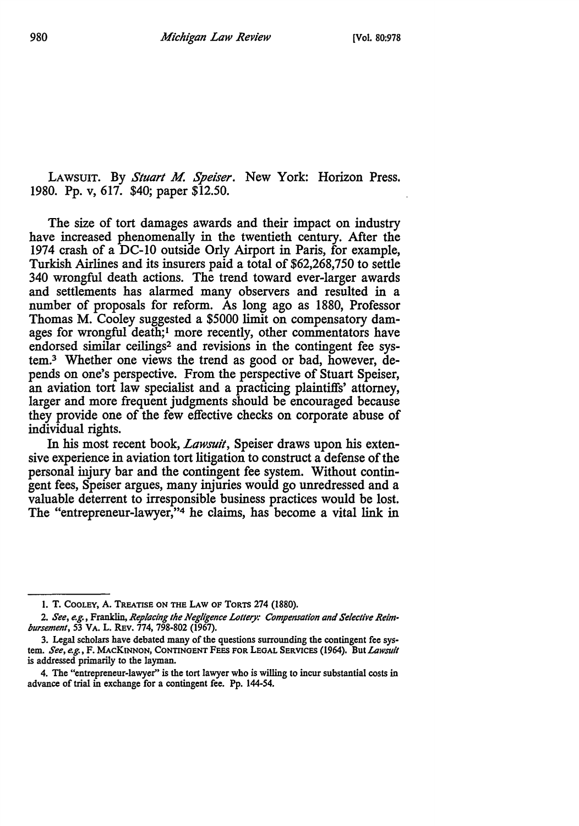LAWSUIT. By *Stuart M. Speiser.* New York: Horizon Press. 1980. Pp. v, 617. \$40; paper \$12.50.

The size of tort damages awards and their impact on industry have increased phenomenally in the twentieth century. After the 1974 crash of a DC-10 outside Orly Airport in Paris, for example, Turkish Airlines and its insurers paid a total of \$62,268,750 to settle 340 wrongful death actions. The trend toward ever-larger awards and settlements has alarmed many observers and resulted in a number of proposals for reform. As long ago as 1880, Professor Thomas M. Cooley suggested a \$5000 limit on compensatory damages for wrongful death;<sup>1</sup> more recently, other commentators have endorsed similar ceilings<sup>2</sup> and revisions in the contingent fee system. 3 Whether one views the trend as good or bad, however, depends on one's perspective. From the perspective of Stuart Speiser, an aviation tort law specialist and a practicing plaintiffs' attorney, larger and more frequent judgments should be encouraged because they provide one of the few effective checks on corporate abuse of individual rights.

In his most recent book, *Lawsuit,* Speiser draws upon his extensive experience in aviation tort litigation to construct a defense of the personal injury bar and the contingent fee system. Without contingent fees, Speiser argues, many injuries would go unredressed and a valuable deterrent to irresponsible business practices would be lost. The "entrepreneur-lawyer,"4 he claims, has become a vital link in

I. T. COOLEY, A. TREATISE ON THE LAW OF TORTS 274 (1880).

<sup>2.</sup> *See, e.g.,* Franklin, *Replacing the Negligence Lollery: Compensation and Selective Reim• bursement,* 53 VA. L. REv. 774, 798-802 (1967).

<sup>3.</sup> Legal scholars have debated many of the questions surrounding the contingent fee system. *See, e.g.,* F. MACKINNON, CONTINGENT FEES FOR LEGAL SERVICES (1964). But *Lowsult*  is addressed primarily to the layman.

<sup>4.</sup> The "entrepreneur-lawyer'' is the tort lawyer who is willing to incur substantial *costs* in advance of trial in exchange for a contingent fee. Pp. 144-54.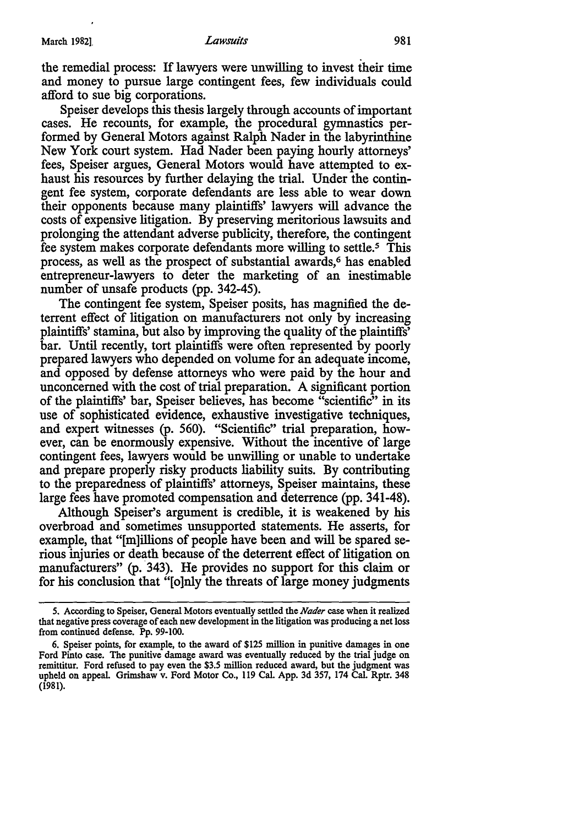the remedial process: If lawyers were unwilling to invest their time and money to pursue large contingent fees, few individuals could afford to sue big corporations.

Speiser develops this thesis largely through accounts of important cases. He recounts, for example, the procedural gymnastics performed by General Motors against Ralph Nader in the labyrinthine New York court system. Had Nader been paying hourly attorneys' fees, Speiser argues, General Motors would have attempted to exhaust his resources by further delaying the trial. Under the contingent fee system, corporate defendants are less able to wear down their opponents because many plaintiffs' lawyers will advance the costs of expensive litigation. By preserving meritorious lawsuits and prolonging the attendant adverse publicity, therefore, the contingent fee system makes corporate defendants more willing to settle.<sup>5</sup> This process, as well as the prospect of substantial awards,<sup>6</sup> has enabled entrepreneur-lawyers to deter the marketing of an inestimable number of unsafe products (pp. 342-45).

The contingent fee system, Speiser posits, has magnified the deterrent effect of litigation on manufacturers not only by increasing plaintiffs' stamina, but also by improving the quality of the plaintiffs' bar. Until recently, tort plaintiffs were often represented by poorly prepared lawyers who depended on volume for an adequate income, and opposed by defense attorneys who were paid by the hour and unconcerned with the cost of trial preparation. A significant portion of the plaintiffs' bar, Speiser believes, has become "scientific" in its use of sophisticated evidence, exhaustive investigative techniques, and expert witnesses (p. 560). "Scientific" trial preparation, however, can be enormously expensive. Without the incentive of large contingent fees, lawyers would be unwilling or unable to undertake and prepare properly risky products liability suits. By contributing to the preparedness of plaintiffs' attorneys, Speiser maintains, these large fees have promoted compensation and deterrence (pp. 341-48).

Although Speiser's argument is credible, it is weakened by his overbroad and sometimes unsupported statements. He asserts, for example, that "[m]illions of people have been and will be spared serious injuries or death because of the deterrent effect of litigation on manufacturers" (p. 343). He provides no support for this claim or for his conclusion that "[o]nly the threats of large money judgments

*<sup>5.</sup>* According to Speiser, General Motors eventually settled the *Nader* case when it realized that negative press coverage of each new development in the litigation was producing a net loss from continued defense. Pp. 99-100.

<sup>6.</sup> Speiser points, for example, to the award of \$125 million in punitive damages in one Ford Pinto case. The punitive damage award was eventually reduced by the trial judge on remittitur. Ford refused to pay even the \$3.5 million reduced award, but the judgment was upheld on appeal. Grimshaw v. Ford Motor Co., 119 Cal. App. 3d 357, 174 Cal. Rptr. 348 (1981).